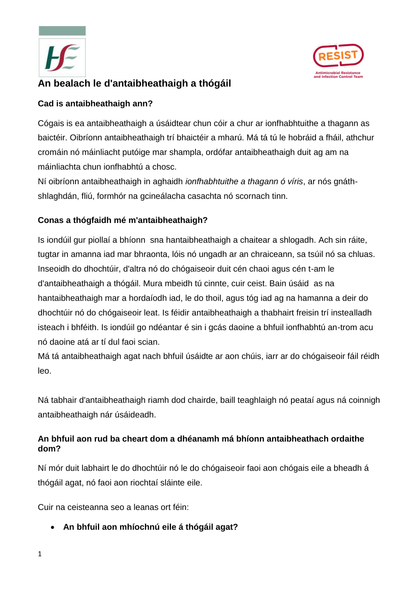



# **An bealach le d'antaibheathaigh a thógáil**

### **Cad is antaibheathaigh ann?**

Cógais is ea antaibheathaigh a úsáidtear chun cóir a chur ar ionfhabhtuithe a thagann as baictéir. Oibríonn antaibheathaigh trí bhaictéir a mharú. Má tá tú le hobráid a fháil, athchur cromáin nó máinliacht putóige mar shampla, ordófar antaibheathaigh duit ag am na máinliachta chun ionfhabhtú a chosc.

Ní oibríonn antaibheathaigh in aghaidh *ionfhabhtuithe a thagann ó víris*, ar nós gnáthshlaghdán, fliú, formhór na gcineálacha casachta nó scornach tinn.

## **Conas a thógfaidh mé m'antaibheathaigh?**

Is iondúil gur piollaí a bhíonn sna hantaibheathaigh a chaitear a shlogadh. Ach sin ráite, tugtar in amanna iad mar bhraonta, lóis nó ungadh ar an chraiceann, sa tsúil nó sa chluas. Inseoidh do dhochtúir, d'altra nó do chógaiseoir duit cén chaoi agus cén t-am le d'antaibheathaigh a thógáil. Mura mbeidh tú cinnte, cuir ceist. Bain úsáid as na hantaibheathaigh mar a hordaíodh iad, le do thoil, agus tóg iad ag na hamanna a deir do dhochtúir nó do chógaiseoir leat. Is féidir antaibheathaigh a thabhairt freisin trí instealladh isteach i bhféith. Is iondúil go ndéantar é sin i gcás daoine a bhfuil ionfhabhtú an-trom acu nó daoine atá ar tí dul faoi scian.

Má tá antaibheathaigh agat nach bhfuil úsáidte ar aon chúis, iarr ar do chógaiseoir fáil réidh leo.

Ná tabhair d'antaibheathaigh riamh dod chairde, baill teaghlaigh nó peataí agus ná coinnigh antaibheathaigh nár úsáideadh.

## **An bhfuil aon rud ba cheart dom a dhéanamh má bhíonn antaibheathach ordaithe dom?**

Ní mór duit labhairt le do dhochtúir nó le do chógaiseoir faoi aon chógais eile a bheadh á thógáil agat, nó faoi aon riochtaí sláinte eile.

Cuir na ceisteanna seo a leanas ort féin:

**An bhfuil aon mhíochnú eile á thógáil agat?**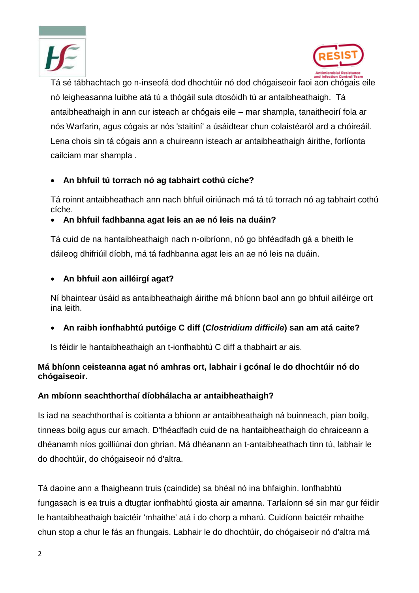



i, Tá sé tábhachtach go n-inseofá dod dhochtúir nó dod chógaiseoir faoi aon chógais eile nó leigheasanna luibhe atá tú a thógáil sula dtosóidh tú ar antaibheathaigh. Tá antaibheathaigh in ann cur isteach ar chógais eile – mar shampla, tanaitheoirí fola ar nós Warfarin, agus cógais ar nós 'staitiní' a úsáidtear chun colaistéaról ard a chóireáil. Lena chois sin tá cógais ann a chuireann isteach ar antaibheathaigh áirithe, forlíonta cailciam mar shampla .

## **An bhfuil tú torrach nó ag tabhairt cothú cíche?**

Tá roinnt antaibheathach ann nach bhfuil oiriúnach má tá tú torrach nó ag tabhairt cothú cíche.

#### **An bhfuil fadhbanna agat leis an ae nó leis na duáin?**

Tá cuid de na hantaibheathaigh nach n-oibríonn, nó go bhféadfadh gá a bheith le dáileog dhifriúil díobh, má tá fadhbanna agat leis an ae nó leis na duáin.

#### **An bhfuil aon ailléirgí agat?**

Ní bhaintear úsáid as antaibheathaigh áirithe má bhíonn baol ann go bhfuil ailléirge ort ina leith.

**An raibh ionfhabhtú putóige C diff (***Clostridium difficile***) san am atá caite?**

Is féidir le hantaibheathaigh an t-ionfhabhtú C diff a thabhairt ar ais.

#### **Má bhíonn ceisteanna agat nó amhras ort, labhair i gcónaí le do dhochtúir nó do chógaiseoir.**

#### **An mbíonn seachthorthaí díobhálacha ar antaibheathaigh?**

Is iad na seachthorthaí is coitianta a bhíonn ar antaibheathaigh ná buinneach, pian boilg, tinneas boilg agus cur amach. D'fhéadfadh cuid de na hantaibheathaigh do chraiceann a dhéanamh níos goilliúnaí don ghrian. Má dhéanann an t-antaibheathach tinn tú, labhair le do dhochtúir, do chógaiseoir nó d'altra.

Tá daoine ann a fhaigheann truis (caindide) sa bhéal nó ina bhfaighin. Ionfhabhtú fungasach is ea truis a dtugtar ionfhabhtú giosta air amanna. Tarlaíonn sé sin mar gur féidir le hantaibheathaigh baictéir 'mhaithe' atá i do chorp a mharú. Cuidíonn baictéir mhaithe chun stop a chur le fás an fhungais. Labhair le do dhochtúir, do chógaiseoir nó d'altra má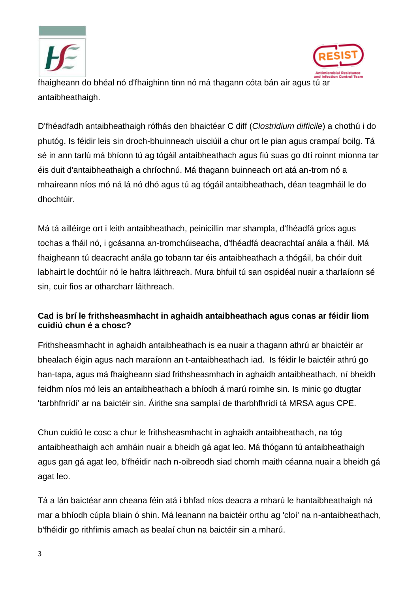



fhaigheann do bhéal nó d'fhaighinn tinn nó má thagann cóta bán air agus tú ar antaibheathaigh.

D'fhéadfadh antaibheathaigh rófhás den bhaictéar C diff (*Clostridium difficile*) a chothú i do phutóg. Is féidir leis sin droch-bhuinneach uisciúil a chur ort le pian agus crampaí boilg. Tá sé in ann tarlú má bhíonn tú ag tógáil antaibheathach agus fiú suas go dtí roinnt míonna tar éis duit d'antaibheathaigh a chríochnú. Má thagann buinneach ort atá an-trom nó a mhaireann níos mó ná lá nó dhó agus tú ag tógáil antaibheathach, déan teagmháil le do dhochtúir.

Má tá ailléirge ort i leith antaibheathach, peinicillin mar shampla, d'fhéadfá gríos agus tochas a fháil nó, i gcásanna an-tromchúiseacha, d'fhéadfá deacrachtaí anála a fháil. Má fhaigheann tú deacracht anála go tobann tar éis antaibheathach a thógáil, ba chóir duit labhairt le dochtúir nó le haltra láithreach. Mura bhfuil tú san ospidéal nuair a tharlaíonn sé sin, cuir fios ar otharcharr láithreach.

#### **Cad is brí le frithsheasmhacht in aghaidh antaibheathach agus conas ar féidir liom cuidiú chun é a chosc?**

Frithsheasmhacht in aghaidh antaibheathach is ea nuair a thagann athrú ar bhaictéir ar bhealach éigin agus nach maraíonn an t-antaibheathach iad. Is féidir le baictéir athrú go han-tapa, agus má fhaigheann siad frithsheasmhach in aghaidh antaibheathach, ní bheidh feidhm níos mó leis an antaibheathach a bhíodh á marú roimhe sin. Is minic go dtugtar 'tarbhfhrídí' ar na baictéir sin. Áirithe sna samplaí de tharbhfhrídí tá MRSA agus CPE.

Chun cuidiú le cosc a chur le frithsheasmhacht in aghaidh antaibheathach, na tóg antaibheathaigh ach amháin nuair a bheidh gá agat leo. Má thógann tú antaibheathaigh agus gan gá agat leo, b'fhéidir nach n-oibreodh siad chomh maith céanna nuair a bheidh gá agat leo.

Tá a lán baictéar ann cheana féin atá i bhfad níos deacra a mharú le hantaibheathaigh ná mar a bhíodh cúpla bliain ó shin. Má leanann na baictéir orthu ag 'cloí' na n-antaibheathach, b'fhéidir go rithfimis amach as bealaí chun na baictéir sin a mharú.